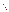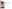

# **The Clear Skies Act of 2003**

### **Louisiana and Clear Skies**



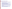### **Highlights of Clear Skies in Louisiana**

- $\bullet$ • Louisiana sources would reduce emissions of SO<sub>2</sub> by 72%, NO<sub>x</sub> by 74%, and **mercury by 60% by 2020 due to Clear Skies.**
- $\bullet$  **The health benefits in Louisiana would total \$1.7 billion annually (\$320 million under the alternative estimate) and include approximately 200 fewer premature deaths (100 under the alternative estimate) and 500 fewer hospitalizations/emergency room visits each year.**
- $\bullet$  **In addition, Louisiana would receive environmental benefits including reduced sulfur and nitrogen deposition and visibility benefits valued at \$31 million each year by 2020 for Louisiana residents who visit National Parks and Wilderness Areas nationwide.**
- $\bullet$  **Clear Skies does not significantly impact electricity prices. With or without Clear Skies, electricity prices in the electric supply region that includes Louisiana are expected to remain below 2000 prices.**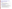## **Clear Skies: An Innovative Approach to Improving Human Health and the Environment**

#### **Wh y Clear Skies?**

- **Air quality has i mproved, but seri o u s concerns p ersist**
	- Louisiana's citizens suffer ill effects from air pollution, including asthma attacks and premature death
- **Electricit y generation sector remains a m ajor emissio ns source**
	- Very cost-effective to control the power sector, relative to other sources
	- Sources are concerned about upcoming complex and burdensome regulations

#### **A d v a n tages o f t he Clear Skies A pproach**

- Guarantees significant nationwide emissions reductions beginning years before full implementation
	- $-$  Louisiana sources would substantially reduce emissions of SO<sub>2</sub>, NO<sub>x</sub>, and mercury
	- Delivers dramatic progress towards achievement of critical health and environmental goals
- Uses proven, market-based flexible approach with incentives for innovation
	- Recognizes environmental needs a s well a s industry constraints, all o wing industry to b etter manage its operations and finances while lowering risks to the public
	- Sources are projected to install pollution controls to enable continued reliance on coal

#### • **Increases certaint y across th e board for in d ustr y, r egul ators, and con sumer s**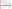## **Under Current Clean Air Act Power Plants Would Face a Complex Set of Requirements**

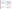### **Clear Skies Sets a Firm Timeline for Emission Reductions**

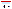### **Emissions in Louisiana under Clear Skies**



- $\,$  71% reduction in SO $_2$  emissions
- $\,$  85% reduction in NO $_{\mathrm{x}}$  emissions
- 42% reduction in mercury emissions

**Emissions: Current (2000) and Existing Clean Air Act Regulations (base case\*) vs. Clear Skies in Louisiana in 2010 and 2020**



Note: The base case using IPM includes Title IV, the NO<sub>x</sub> SIP Call, NSR settlements, and state-specific caps in CT, MA, MO, NC, NH, TX, and WI. It does not include mercury MACT in 2007 or any other potential future regulations to implement the current ambient air quality standards or other parts of the Clean Air Act. Base case emissions in 2020 will likely be lower due to state and federal regulatory actions that have not yet been promulgated.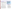## **Clear Skies Health and Air Quality Benefits in Louisiana**

### **Impro ve Public Health**

- • **Reduced ozone and fine par ticl e exposure** by 2020 would result in public health benefits of:
	- approximately 2 0 0 few er premature deaths e ach year**<sup>1</sup>**
	- a p proxi m ately 100 fewer cases of c hronic bronchitis each year
	- approximately 3 0 0 few er non-fatal heart attacks each year
	- approximately 5 0 0 few er hospital and e merg e n c y room visits each year
	- approximately 2 3,000 few er day s workers are out sick due to r espiratory symptoms e ach year
	- –ap proxi mately 4,800 f ewer school absences eachyear
- •**•** Reduced mercury emissions would reduce exposure to mercury through con sumption of contaminated fish, resulting in additional, unquantified benefits to those w ho eat fish fro m Louisiana's lakes, streams, and coastal w aters.

1. An alternative methodology for calculating health-related benefits projects approximately 100 premature **particles throughout Louisiana.**<br>deaths prevented and \$320 million in health benefits each year in Louisiana by 20 2. Based on 1999-2001 data of counties with monitors that have three years of complete data.

**By 2 0 2 0, Loui sia n a w ould recei ve ap p roximatel y \$1.7 billion in annual health benefits from reductions infine particle and ozone concentrations alone due toClear Skies.1**

### **Help Maintain Health-Based Air Quality Standards 2**

- All Louisiana p arishes currently meet the fine particle standard; Te n parish e s currently exceed the 8 hour ozone standard.
- •All ten pari shes (population approximately 1.5 million) that exceed the ozone sta ndard areexpected to com e into attainment by 2010 under existing programs.
- •Clear Skies would further reduceconcentrations of ozone and fine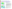## **Clear Skies Environmental Benefits in Louisiana**

**Projected Changes in Nitrogen Deposition in Louisiana with the Base Case in 2020 Compared to 2001**



**Projected Changes in Nitrogen Deposition in Louisiana with Clear Skies and the Base Case in 2020 Co mp are d to 2001**



### **Clear Skies Would Provide Substantial Environmental Benefits in Louisiana**

In comparison to existing programs,

- • **Visibility w ould i mpro v e perc e ptibl y** in norther n Louisiana.
	- **The value of impro ved visibility for Louisiana r esidents**who visit National Parks and Wilderness areas throughout the country would be\$ 31 million each y ear by 20 20.
- • **Oxidiz e d nitrogen depositi on, a cau s e of damag e to nitrogen-s ensitiv e coastal waters, i ncluding the Gulf of Mexico hypoxi a zone, would decreas e** by up to 20% throughout most of the state.\*
- • **Sulfur dep ositi on, a primary cause of acid rain, would decrease** by 15-30% in northern Louisiana and by up to 15% thr oughout m uch of the r emaini ng p ortions of the state.
- • **M ercur y deposition w oul d decrease** by up to 5% across much of the state and up to 15% in some areas.\*\*
	- **\*** The increases in nitrogen deposition in Louisiana occur under both the Bas eCase and Clear Skies and are the result of increases in emissions frommanufacturing and r efining sources.

\*\* These r esults are based on modeling the Clear Skies mercur y cap without triggering the s afet y val ve.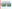## **SO2 and NOx Emissions Reductions under Clear Skies**

**Emissions in Louisiana and surrounding states would decrease considerably. These emission reductions would make it much easier for Louisiana to maintain compliance with the national air quality standards.**



Note: The base case in IPM includes Title IV, the NO<sub>x</sub> SIP Call, NSR settlements, and state-specific caps in CT, MA, MO, NC, NH, TX, and WI. It does not include mercury MACT in 2007 or any other potential future regulations to implement the current ambient air quality standards or other parts of the Clean Air Act. Base case emissions in 2020 will likely be lower due to state and federal regulatory actions that have not yet been promulgated. Emissions projected for new units in 2020 are not reflected.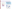## **Electricity Generation in Louisiana under Clear Skies**

•



#### **Current and Projected Generation by Fuel Type in Louisiana under Clear Skies (GWh)**

- **Louisiana's sources are projected to reduce their emissions through the installation of emission controls, rather than from a switch from coal to natural gas.**
	- In 2010, 18% of Louisiana's coal-fired generation is projected to come from units with advanced  $SO<sub>2</sub>$ and/or  $\mathsf{NO}_\mathsf{x}$  control equipment that also substantially reduce mercury emissions; in 2020, the percentage is projected to increase to 80%.

#### **Current and Projected Coal Production for Electricity Generation**

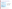### **Emission Controls in Louisiana under Clear Skies**

#### • **Under Clear S kies b y 2020...**

- 80% of coal-fire d c apacity would i nstall S C R
- –80% would install scrubbers

#### • **The major gen eration companie s i n Louisianainclude:**

- Enter g y
- Cleco Power, LLC
- Duke E ner g y
- –Louisiana Ener g y & Pow er Authority
- –Southwestern Electric Power Co.

#### • **Total coal-fired ca p acity in L ouisiana is proje cted to be 2,7 92 MW i n 2010.**

#### Units in Louisiana Projected to Be Retrofitted **Due to Clear Skies b y 2020**

| <b>Plant Name</b>                                       | Unit ID                                   | Technology                                      |
|---------------------------------------------------------|-------------------------------------------|-------------------------------------------------|
| <b>BIG CAJUN 2</b><br>BIG CAJUN 2<br><b>BIG CAJUN 2</b> | 2B1<br>2R <sub>2</sub><br>2B <sub>3</sub> | Scrubber/ SCR<br>Scrubber/ SCR<br>Scrubber/ SCR |
| <b>RODEMACHER</b>                                       | 2                                         | Scrubber*/ SCR*                                 |

\* Retrofit was installed under Clear Skies by 2010

Notes:

[1] Retrofits and total coal-fired capacity apply to coal units greater than 25 M W.

[2] Dolet Hills unit 1 is projected to be removed from operation by 2005 with Clear Skies due to excess gas-fired capacity in the marketplace, unless otherwise needed for voltage purposes or owner decides to receive by rail rather than minemout. The recent overbuild of gas-fired generation reduces the need for less efficient units operating at lower capacity factors. This unit is inefficient compared to other coal-fired plants and newer gas-fired generation. Less conservative assumptions regarding natural gas prices or electricity demand would create a greater incentive to keep this unit operational.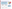### **Electricity Prices in Louisiana under Clear Skies**

- **NERC Regions** With or without Clear Skies, retail prices in the North  $\bigcap_{n=1}^{\infty}$  NERC Regions **American Electric Reliability Council (NERC) SERC region (the electricity supply region that contains Louisiana) are projected to increase between 2005 and 2020.**
- • **With Clear Skies, retail prices are projected to be approximately 0.7 – 2.8% higher between 2005 and 2020 than in the absence of the legislation.**

**Projected Retail Electricity Prices in Louisiana under the Base Case and Clear Skies**

**Projected National Retail Electricity Prices and Prices in Louisiana under Clear Skies (2005-2020) (2005-2020) In 2000, the average retail**





**electricity price in Louisiana was approximately 6.6 cents/kWh, which was below the average** *national* **retail price of approximately 6.7 cents/kWh.** 

Note: The base case using IPM includes Title IV, the NO<sub>x</sub> SIP Call, NSR settlements, and state-specific caps in CT, MA, MO, NC, NH, TX, and WI. It does not include mercury MACT in 2007 or any other potential future regulations to implement the current ambient air quality standards or other parts of the Clean Air Act. Base case emissions in 2020 will likely be lower due to state and federal regulatory actions that have not yet been promulgated.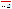#### **Benefits Out weigh the Cost s**

- **In Louisiana, Clear Skies is projected to c ost approxi m a tel y \$3 2 million annually b y 2020 w hile p r o viding health benefits totalin g approxi mately \$1.7 billion annually.**
- **The i ncreases in productio n costs under Clear Skies represen t onl y a s mall percentage o f t otal retail elect rici t y sales re v enue i n Louisian a**.
	- –Retail electricity s ales revenue in Louisiana was almost \$5.3 billion in 2000.
	- Adjusting the se sales revenues by the s ame growth rate u sed for the modeling of co sts would result in revenues of almost \$ 8.2 billion annuall y in 2020.
- **Natio n wide, the projected ann u al cos ts of Clear Skies (in \$1999) are \$4.3 billion in 2010 and \$6.3 billion in 2020; the nation wide benefits o f Clear Skies are expected to be o ver \$113 billion annuall y b y 2020.**
	- An alternate estim ate projects ann u al health benefits totaling \$23 billion.

#### **Clear Skies….**

- **Guarantees sig nificant emissions reductions – beginning years before full implement atio n**
- **Uses a pro ven and flexi ble marketbased approach with inc entives for innovation**
- **Increases certaint y across th e board for in dustry, reg ulators, an dconsumers**

Note: Costs include capital costs, fuel, and other operation and maintenance costs (both fixed and variable) associated with the achievement of the emissions caps in the legislation (for example, the installation and operation of pollution controls). These state-level production costs are estimates; they do not account for the costs associated with the transfer of electricity across regions, nor the costs or savings that could be associated with allowance movement between sources.